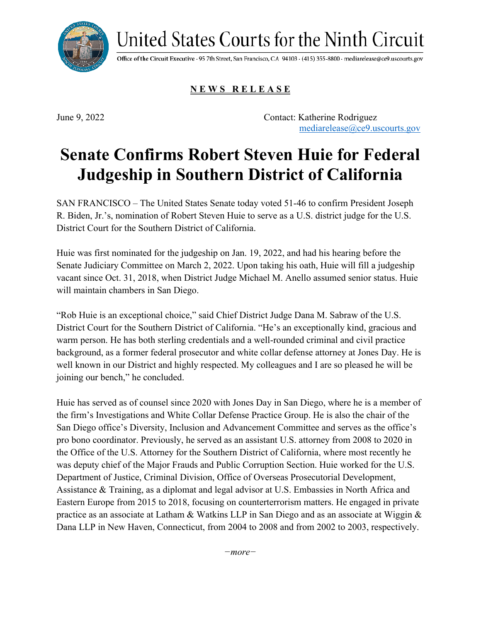

United States Courts for the Ninth Circuit

Office of the Circuit Executive · 95 7th Street, San Francisco, CA 94103 · (415) 355-8800 · mediarelease@ce9.uscourts.gov

**N E W S R E L E A S E**

June 9, 2022 Contact: Katherine Rodriguez [mediarelease@ce9.uscourts.gov](mailto:mediarelease@ce9.uscourts.gov)

## **Senate Confirms Robert Steven Huie for Federal Judgeship in Southern District of California**

SAN FRANCISCO – The United States Senate today voted 51-46 to confirm President Joseph R. Biden, Jr.'s, nomination of Robert Steven Huie to serve as a U.S. district judge for the U.S. District Court for the Southern District of California.

Huie was first nominated for the judgeship on Jan. 19, 2022, and had his hearing before the Senate Judiciary Committee on March 2, 2022. Upon taking his oath, Huie will fill a judgeship vacant since Oct. 31, 2018, when District Judge Michael M. Anello assumed senior status. Huie will maintain chambers in San Diego.

"Rob Huie is an exceptional choice," said Chief District Judge Dana M. Sabraw of the U.S. District Court for the Southern District of California. "He's an exceptionally kind, gracious and warm person. He has both sterling credentials and a well-rounded criminal and civil practice background, as a former federal prosecutor and white collar defense attorney at Jones Day. He is well known in our District and highly respected. My colleagues and I are so pleased he will be joining our bench," he concluded.

Huie has served as of counsel since 2020 with Jones Day in San Diego, where he is a member of the firm's Investigations and White Collar Defense Practice Group. He is also the chair of the San Diego office's Diversity, Inclusion and Advancement Committee and serves as the office's pro bono coordinator. Previously, he served as an assistant U.S. attorney from 2008 to 2020 in the Office of the U.S. Attorney for the Southern District of California, where most recently he was deputy chief of the Major Frauds and Public Corruption Section. Huie worked for the U.S. Department of Justice, Criminal Division, Office of Overseas Prosecutorial Development, Assistance & Training, as a diplomat and legal advisor at U.S. Embassies in North Africa and Eastern Europe from 2015 to 2018, focusing on counterterrorism matters. He engaged in private practice as an associate at Latham & Watkins LLP in San Diego and as an associate at Wiggin & Dana LLP in New Haven, Connecticut, from 2004 to 2008 and from 2002 to 2003, respectively.

*−more−*